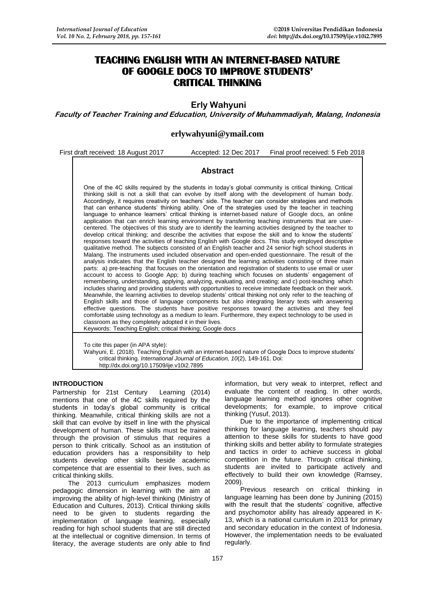# **TEACHING ENGLISH WITH AN INTERNET-BASED NATURE OF GOOGLE DOCS TO IMPROVE STUDENTS' CRITICAL THINKING**

**Erly Wahyuni** 

**Faculty of Teacher Training and Education, University of Muhammadiyah, Malang, Indonesia**

**[erlywahyuni@ymail.com](mailto:erlywahyuni@ymail.com)**

First draft received: 18 August 2017 Accepted: 12 Dec 2017 Final proof received: 5 Feb 2018

# **Abstract**

One of the 4C skills required by the students in today's global community is critical thinking. Critical thinking skill is not a skill that can evolve by itself along with the development of human body. Accordingly, it requires creativity on teachers' side. The teacher can consider strategies and methods that can enhance students' thinking ability. One of the strategies used by the teacher in teaching language to enhance learners' critical thinking is internet-based nature of Google docs, an online application that can enrich learning environment by transferring teaching instruments that are usercentered. The objectives of this study are to identify the learning activities designed by the teacher to develop critical thinking; and describe the activities that expose the skill and to know the students' responses toward the activities of teaching English with Google docs. This study employed descriptive qualitative method. The subjects consisted of an English teacher and 24 senior high school students in Malang. The instruments used included observation and open-ended questionnaire. The result of the analysis indicates that the English teacher designed the learning activities consisting of three main parts: a) pre-teaching that focuses on the orientation and registration of students to use email or user account to access to Google App; b) during teaching which focuses on students' engagement of remembering, understanding, applying, analyzing, evaluating, and creating; and c) post-teaching which includes sharing and providing students with opportunities to receive immediate feedback on their work. Meanwhile, the learning activities to develop students' critical thinking not only refer to the teaching of English skills and those of language components but also integrating literary texts with answering effective questions. The students have positive responses toward the activities and they feel comfortable using technology as a medium to learn. Furthermore, they expect technology to be used in classroom as they completely adopted it in their lives. Keywords: Teaching English; critical thinking; Google docs

To cite this paper (in APA style): Wahyuni, E. (2018). Teaching English with an internet-based nature of Google Docs to improve students' critical thinking. *International Journal of Education, 10*(2), 149-161. Doi: http://dx.doi.org/10.17509/ije.v10i2.7895

## **INTRODUCTION**

Partnership for 21st Century Learning (2014) mentions that one of the 4C skills required by the students in today's global community is critical thinking. Meanwhile, critical thinking skills are not a skill that can evolve by itself in line with the physical development of human. These skills must be trained through the provision of stimulus that requires a person to think critically. School as an institution of education providers has a responsibility to help students develop other skills beside academic competence that are essential to their lives, such as critical thinking skills.

The 2013 curriculum emphasizes modern pedagogic dimension in learning with the aim at improving the ability of high-level thinking (Ministry of Education and Cultures, 2013). Critical thinking skills need to be given to students regarding the implementation of language learning, especially reading for high school students that are still directed at the intellectual or cognitive dimension. In terms of literacy, the average students are only able to find

information, but very weak to interpret, reflect and evaluate the content of reading. In other words, language learning method ignores other cognitive developments; for example, to improve critical thinking (Yusuf, 2013).

Due to the importance of implementing critical thinking for language learning, teachers should pay attention to these skills for students to have good thinking skills and better ability to formulate strategies and tactics in order to achieve success in global competition in the future. Through critical thinking, students are invited to participate actively and effectively to build their own knowledge (Ramsey, 2009).

Previous research on critical thinking in language learning has been done by Junining (2015) with the result that the students' cognitive, affective and psychomotor ability has already appeared in K-13, which is a national curriculum in 2013 for primary and secondary education in the context of Indonesia. However, the implementation needs to be evaluated regularly.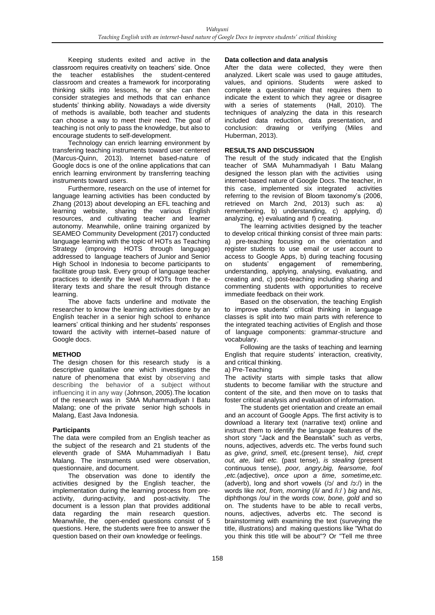Keeping students exited and active in the classroom requires creativity on teachers' side. Once the teacher establishes the student-centered classroom and creates a framework for incorporating thinking skills into lessons, he or she can then consider strategies and methods that can enhance students' thinking ability. Nowadays a wide diversity of methods is available, both teacher and students can choose a way to meet their need. The goal of teaching is not only to pass the knowledge, but also to encourage students to self-development.

Technology can enrich learning environment by transfering teaching instruments toward user centered (Marcus-Quinn, 2013). Internet based-nature of Google docs is one of the online applications that can enrich learning environment by transferring teaching instruments toward users.

Furthermore, research on the use of internet for language learning activities has been conducted by Zhang (2013) about developing an EFL teaching and learning website, sharing the various English resources, and cultivating teacher and learner autonomy. Meanwhile, online training organized by SEAMEO Community Development (2017) conducted language learning with the topic of HOTs as Teaching Strategy (improving HOTS through language) addressed to language teachers of Junior and Senior High School in Indonesia to become participants to facilitate group task. Every group of language teacher practices to identify the level of HOTs from the eliterary texts and share the result through distance learning.

The above facts underline and motivate the researcher to know the learning activities done by an English teacher in a senior high school to enhance learners' critical thinking and her students' responses toward the activity with internet–based nature of Google docs.

#### **METHOD**

The design chosen for this research study is a descriptive qualitative one which investigates the nature of phenomena that exist by observing and describing the behavior of a subject without influencing it in any way (Johnson, 2005).The location of the research was in SMA Muhammadiyah I Batu Malang; one of the private senior high schools in Malang, East Java Indonesia.

## **Participants**

The data were compiled from an English teacher as the subject of the research and 21 students of the eleventh grade of SMA Muhammadiyah I Batu Malang. The instruments used were observation, questionnaire, and document.

The observation was done to identify the activities designed by the English teacher, the implementation during the learning process from preactivity, during-activity, and post-activity. The document is a lesson plan that provides additional data regarding the main research question. Meanwhile, the open-ended questions consist of 5 questions. Here, the students were free to answer the question based on their own knowledge or feelings.

#### **Data collection and data analysis**

After the data were collected, they were then analyzed. Likert scale was used to gauge attitudes, values, and opinions. Students were asked to complete a questionnaire that requires them to indicate the extent to which they agree or disagree with a series of statements (Hall, 2010). The techniques of analyzing the data in this research included data reduction, data presentation, and conclusion: drawing or verifying (Miles and Huberman, 2013).

# **RESULTS AND DISCUSSION**

The result of the study indicated that the English teacher of SMA Muhammadiyah I Batu Malang designed the lesson plan with the activities using internet-based nature of Google Docs. The teacher, in this case, implemented six integrated activities referring to the revision of Bloom taxonomy's (2006, retrieved on March 2nd, 2013) such as: a) remembering, b) understanding, c) applying, d) analyzing, e) evaluating and f) creating.

The learning activities designed by the teacher to develop critical thinking consist of three main parts: a) pre-teaching focusing on the orientation and register students to use email or user account to access to Google Apps, b) during teaching focusing on students' engagement of remembering, understanding, applying, analysing, evaluating, and creating and, c) post-teaching including sharing and commenting students with opportunities to receive immediate feedback on their work.

Based on the observation, the teaching English to improve students' critical thinking in language classes is split into two main parts with reference to the integrated teaching activities of English and those of language components: grammar-structure and vocabulary.

Following are the tasks of teaching and learning English that require students' interaction, creativity, and critical thinking.

a) Pre-Teaching

The activity starts with simple tasks that allow students to become familiar with the structure and content of the site, and then move on to tasks that foster critical analysis and evaluation of information.

The students get orientation and create an email and an account of Google Apps. The first activity is to download a literary text (narrative text) online and instruct them to identify the language features of the short story "Jack and the Beanstalk" such as verbs, nouns, adjectives, adverds etc. The verbs found such as *give*, *grind*, *smell,* etc.(present tense), *hid, crept out, ate, laid etc.* (past tense), *is stealing* (present continuous tense), *poor, angry,big, fearsome, fool ,etc.*(adjective), *once upon a time, sometime,etc.* (adverb), long and short vowels (/ɔ/ and /ɔː/) in the words like *not*, *from, morning* (/i/ and /i:/ ) *big* and *his,*  diphthongs /ou/ in the words *cow, bone, gold* and so on. The students have to be able to recall verbs, nouns, adjectives, adverbs etc. The second is brainstorming with examining the text (surveying the title, illustrations) and making questions like "What do you think this title will be about"? Or "Tell me three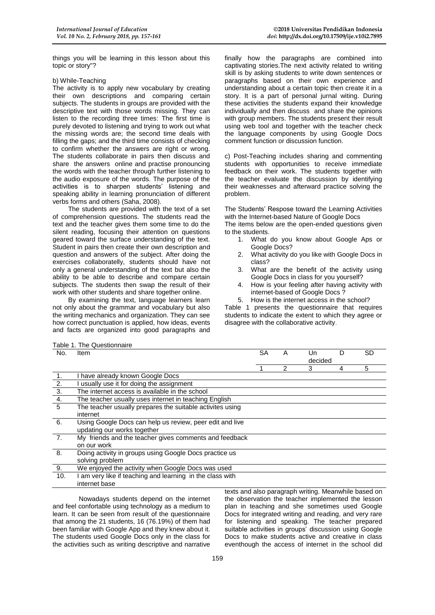things you will be learning in this lesson about this topic or story"?

#### b) While-Teaching

The activity is to apply new vocabulary by creating their own descriptions and comparing certain subjects. The students in groups are provided with the descriptive text with those words missing. They can listen to the recording three times: The first time is purely devoted to listening and trying to work out what the missing words are; the second time deals with filling the gaps; and the third time consists of checking to confirm whether the answers are right or wrong. The students collaborate in pairs then discuss and share the answers online and practise pronouncing the words with the teacher through further listening to the audio exposure of the words. The purpose of the activities is to sharpen students' listening and speaking ability in learning pronunciation of different verbs forms and others (Saha, 2008).

The students are provided with the text of a set of comprehension questions. The students read the text and the teacher gives them some time to do the silent reading, focusing their attention on questions geared toward the surface understanding of the text. Student in pairs then create their own description and question and answers of the subject. After doing the exercises collaboratelly, students should have not only a general understanding of the text but also the ability to be able to describe and compare certain subjects. The students then swap the result of their work with other students and share together online.

By examining the text, language learners learn not only about the grammar and vocabulary but also the writing mechanics and organization. They can see how correct punctuation is applied, how ideas, events and facts are organized into good paragraphs and

finally how the paragraphs are combined into captivating stories.The next activity related to writing skill is by asking students to write down sentences or paragraphs based on their own experience and understanding about a certain topic then create it in a story. It is a part of personal jurnal witing. During these activities the students expand their knowledge individually and then discuss and share the opinions with group members. The students present their result using web tool and together with the teacher check the language components by using Google Docs comment function or discussion function.

c) Post-Teaching includes sharing and commenting students with opportunities to receive immediate feedback on their work. The students together with the teacher evaluate the discussion by identifying their weaknesses and afterward practice solving the problem.

The Students' Respose toward the Learning Activities with the Internet-based Nature of Google Docs The items below are the open-ended questions given

to the students.

- 1. What do you know about Google Aps or Google Docs?
- 2. What activity do you like with Google Docs in class?
- 3. What are the benefit of the activity using Google Docs in class for you yourself?
- 4. How is your feeling after having activity with internet-based of Google Docs ?
- 5. How is the internet access in the school?

Table 1 presents the questionnaire that requires students to indicate the extent to which they agree or disagree with the collaborative activity.

| Table 1. The Questionnaire |                                                           |           |   |         |   |           |
|----------------------------|-----------------------------------------------------------|-----------|---|---------|---|-----------|
| No.                        | <b>Item</b>                                               | <b>SA</b> | A | Un      | D | <b>SD</b> |
|                            |                                                           |           |   | decided |   |           |
|                            |                                                           |           | 2 | 3       | 4 | 5         |
| $\overline{1}$ .           | I have already known Google Docs                          |           |   |         |   |           |
|                            | usually use it for doing the assignment                   |           |   |         |   |           |
|                            | The internet access is available in the school            |           |   |         |   |           |
| $\frac{2.}{\frac{3.}{4.}}$ | The teacher usually uses internet in teaching English     |           |   |         |   |           |
|                            | The teacher usually prepares the suitable activites using |           |   |         |   |           |
|                            | internet                                                  |           |   |         |   |           |
| 6.                         | Using Google Docs can help us review, peer edit and live  |           |   |         |   |           |
|                            | updating our works together                               |           |   |         |   |           |
| 7.                         | My friends and the teacher gives comments and feedback    |           |   |         |   |           |
|                            | on our work                                               |           |   |         |   |           |
| 8.                         | Doing activity in groups using Google Docs practice us    |           |   |         |   |           |
|                            | solving problem                                           |           |   |         |   |           |
| 9.                         | We enjoyed the activity when Google Docs was used         |           |   |         |   |           |
| 10.                        | am very like if teaching and learning in the class with   |           |   |         |   |           |
|                            | internet base                                             |           |   |         |   |           |

Nowadays students depend on the internet and feel confortable using technology as a medium to learn. It can be seen from result of the questionnaire that among the 21 students, 16 (76.19%) of them had been familiar with Google App and they knew about it. The students used Google Docs only in the class for the activities such as writing descriptive and narrative

texts and also paragraph writing. Meanwhile based on the observation the teacher implemented the lesson plan in teaching and she sometimes used Google Docs for integrated writing and reading, and very rare for listening and speaking. The teacher prepared suitable activities in groups' discussion using Google Docs to make students active and creative in class eventhough the access of internet in the school did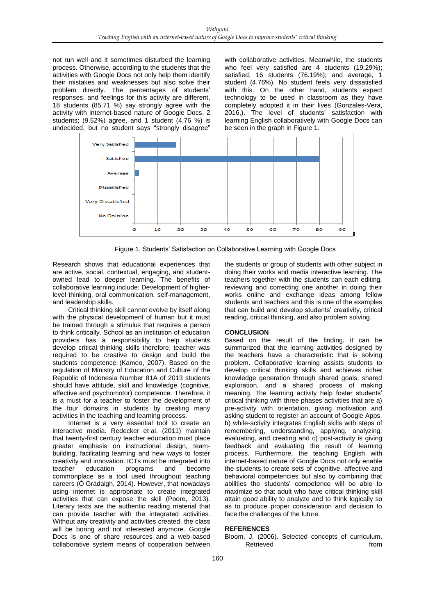not run well and it sometimes disturbed the learning process. Otherwise, according to the students that the activities with Google Docs not only help them identify their mistakes and weaknesses but also solve their problem directly. The percentages of students' responses, and feelings for this activity are different, 18 students (85.71 %) say strongly agree with the activity with internet-based nature of Google Docs, 2 students; (9.52%) agree, and 1 student (4.76 %) is undecided, but no student says "strongly disagree"

with collaborative activities. Meanwhile, the students who feel very satisfied are 4 students (19.29%); satisfied, 16 students (76.19%); and average, 1 student (4.76%). No student feels very dissatisfied with this. On the other hand, students expect technology to be used in classroom as they have completely adopted it in their lives (Gonzales-Vera, 2016,). The level of students' satisfaction with learning English collaboratively with Google Docs can be seen in the graph in Figure 1.



Figure 1. Students' Satisfaction on Collaborative Learning with Google Docs

Research shows that educational experiences that are active, social, contextual, engaging, and studentowned lead to deeper learning. The benefits of collaborative learning include: Development of higherlevel thinking, oral communication, self-management, and leadership skills.

Critical thinking skill cannot evolve by itself along with the physical development of human but it must be trained through a stimulus that requires a person to think critically. School as an institution of education providers has a responsibility to help students develop critical thinking skills therefore, teacher was required to be creative to design and build the students competence (Kameo, 2007). Based on the regulation of Ministry of Education and Culture of the Republic of Indonesia Number 81A of 2013 students should have attitude, skill and knowledge (cognitive, affective and psychomotor) competence. Therefore, it is a must for a teacher to foster the development of the four domains in students by creating many activities in the teaching and learning process.

Internet is a very essential tool to create an interactive media. Redecker et al. (2011) maintain that twenty-first century teacher education must place greater emphasis on instructional design, teambuilding, facilitating learning and new ways to foster creativity and innovation. ICTs must be integrated into teacher education programs and become commonplace as a tool used throughout teaching careers (Ó Grádaigh, 2014). However, that nowadays using internet is appropriate to create integrated activities that can expose the skill (Poore, 2013). Literary texts are the authentic reading material that can provide teacher with the integrated activities. Without any creativity and activities created, the class will be boring and not interested anymore. Google Docs is one of share resources and a web-based collaborative system means of cooperation between

the students or group of students with other subject in doing their works and media interactive learning. The teachers together with the students can each editing, reviewing and correcting one another in doing their works online and exchange ideas among fellow students and teachers and this is one of the examples that can build and develop students' creativity, critical reading, critical thinking, and also problem solving.

#### **CONCLUSION**

Based on the result of the finding, it can be summarized that the learning activities designed by the teachers have a characteristic that is solving problem. Collaborative learning assists students to develop critical thinking skills and achieves richer knowledge generation through shared goals, shared exploration, and a shared process of making meaning. The learning activity help foster students' critical thinking with three phases activities that are a) pre-activity with orientation, giving motivation and asking student to register an account of Google Apps, b) while-activity integrates English skills with steps of remembering, understanding, applying, analyzing, evaluating, and creating and c) post-activity is giving feedback and evaluating the result of learning process. Furthermore, the teaching English with internet-based nature of Google Docs not only enable the students to create sets of cognitive, affective and behavioral competencies but also by combining that abilities the students' competence will be able to maximize so that adult who have critical thinking skill attain good ability to analyze and to think logically so as to produce proper consideration and decision to face the challenges of the future.

#### **REFERENCES**

Bloom, J. (2006). Selected concepts of curriculum. Retrieved from the from